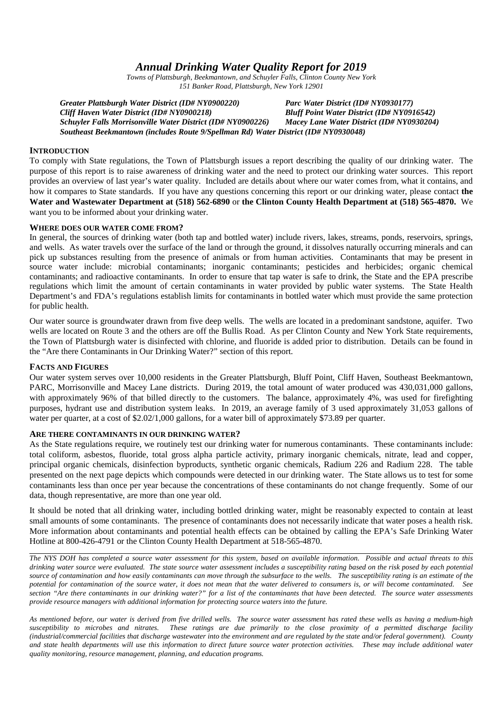# *Annual Drinking Water Quality Report for 2019*

*Towns of Plattsburgh, Beekmantown, and Schuyler Falls, Clinton County New York 151 Banker Road, Plattsburgh, New York 12901*

*Greater Plattsburgh Water District (ID# NY0900220) Parc Water District (ID# NY0930177) Cliff Haven Water District (ID# NY0900218) Bluff Point Water District (ID# NY0916542) Schuyler Falls Morrisonville Water District (ID# NY0900226) Macey Lane Water District (ID# NY0930204) Southeast Beekmantown (includes Route 9/Spellman Rd) Water District (ID# NY0930048)*

### **INTRODUCTION**

To comply with State regulations, the Town of Plattsburgh issues a report describing the quality of our drinking water. The purpose of this report is to raise awareness of drinking water and the need to protect our drinking water sources. This report provides an overview of last year's water quality. Included are details about where our water comes from, what it contains, and how it compares to State standards. If you have any questions concerning this report or our drinking water, please contact **the Water and Wastewater Department at (518) 562-6890** or **the Clinton County Health Department at (518) 565-4870.** We want you to be informed about your drinking water.

### **WHERE DOES OUR WATER COME FROM?**

In general, the sources of drinking water (both tap and bottled water) include rivers, lakes, streams, ponds, reservoirs, springs, and wells. As water travels over the surface of the land or through the ground, it dissolves naturally occurring minerals and can pick up substances resulting from the presence of animals or from human activities. Contaminants that may be present in source water include: microbial contaminants; inorganic contaminants; pesticides and herbicides; organic chemical contaminants; and radioactive contaminants. In order to ensure that tap water is safe to drink, the State and the EPA prescribe regulations which limit the amount of certain contaminants in water provided by public water systems. The State Health Department's and FDA's regulations establish limits for contaminants in bottled water which must provide the same protection for public health.

Our water source is groundwater drawn from five deep wells. The wells are located in a predominant sandstone, aquifer. Two wells are located on Route 3 and the others are off the Bullis Road. As per Clinton County and New York State requirements, the Town of Plattsburgh water is disinfected with chlorine, and fluoride is added prior to distribution. Details can be found in the "Are there Contaminants in Our Drinking Water?" section of this report.

### **FACTS AND FIGURES**

Our water system serves over 10,000 residents in the Greater Plattsburgh, Bluff Point, Cliff Haven, Southeast Beekmantown, PARC, Morrisonville and Macey Lane districts. During 2019, the total amount of water produced was 430,031,000 gallons, with approximately 96% of that billed directly to the customers. The balance, approximately 4%, was used for firefighting purposes, hydrant use and distribution system leaks. In 2019, an average family of 3 used approximately 31,053 gallons of water per quarter, at a cost of \$2.02/1,000 gallons, for a water bill of approximately \$73.89 per quarter.

#### **ARE THERE CONTAMINANTS IN OUR DRINKING WATER?**

As the State regulations require, we routinely test our drinking water for numerous contaminants. These contaminants include: total coliform, asbestos, fluoride, total gross alpha particle activity, primary inorganic chemicals, nitrate, lead and copper, principal organic chemicals, disinfection byproducts, synthetic organic chemicals, Radium 226 and Radium 228. The table presented on the next page depicts which compounds were detected in our drinking water. The State allows us to test for some contaminants less than once per year because the concentrations of these contaminants do not change frequently. Some of our data, though representative, are more than one year old.

It should be noted that all drinking water, including bottled drinking water, might be reasonably expected to contain at least small amounts of some contaminants. The presence of contaminants does not necessarily indicate that water poses a health risk. More information about contaminants and potential health effects can be obtained by calling the EPA's Safe Drinking Water Hotline at 800-426-4791 or the Clinton County Health Department at 518-565-4870.

*The NYS DOH has completed a source water assessment for this system, based on available information. Possible and actual threats to this drinking water source were evaluated. The state source water assessment includes a susceptibility rating based on the risk posed by each potential source of contamination and how easily contaminants can move through the subsurface to the wells. The susceptibility rating is an estimate of the potential for contamination of the source water, it does not mean that the water delivered to consumers is, or will become contaminated. See section "Are there contaminants in our drinking water?" for a list of the contaminants that have been detected. The source water assessments provide resource managers with additional information for protecting source waters into the future.*

*As mentioned before, our water is derived from five drilled wells. The source water assessment has rated these wells as having a medium-high susceptibility to microbes and nitrates. These ratings are due primarily to the close proximity of a permitted discharge facility (industrial/commercial facilities that discharge wastewater into the environment and are regulated by the state and/or federal government). County and state health departments will use this information to direct future source water protection activities. These may include additional water quality monitoring, resource management, planning, and education programs.*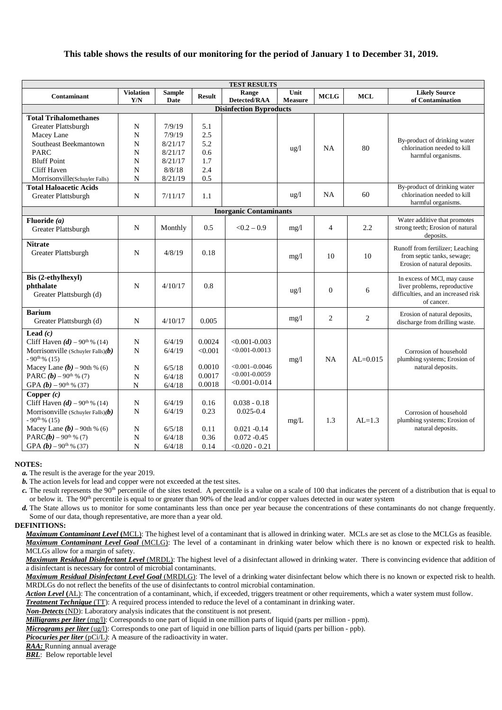# **This table shows the results of our monitoring for the period of January 1 to December 31, 2019.**

| <b>TEST RESULTS</b>                                  |                  |         |               |                    |                 |                |                |                                                                |  |  |  |
|------------------------------------------------------|------------------|---------|---------------|--------------------|-----------------|----------------|----------------|----------------------------------------------------------------|--|--|--|
| Contaminant                                          | <b>Violation</b> | Sample  | <b>Result</b> | Range              | Unit            | <b>MCLG</b>    | <b>MCL</b>     | <b>Likely Source</b>                                           |  |  |  |
|                                                      | Y/N              | Date    |               | Detected/RAA       | <b>Measure</b>  |                |                | of Contamination                                               |  |  |  |
| <b>Disinfection Byproducts</b>                       |                  |         |               |                    |                 |                |                |                                                                |  |  |  |
| <b>Total Trihalomethanes</b>                         |                  |         |               |                    |                 |                |                |                                                                |  |  |  |
| Greater Plattsburgh                                  | N                | 7/9/19  | 5.1           |                    |                 |                |                |                                                                |  |  |  |
| Macey Lane                                           | N                | 7/9/19  | 2.5           |                    |                 |                |                | By-product of drinking water                                   |  |  |  |
| Southeast Beekmantown                                | N                | 8/21/17 | 5.2           |                    | $\frac{u g}{l}$ | <b>NA</b>      | 80             | chlorination needed to kill                                    |  |  |  |
| <b>PARC</b>                                          | N                | 8/21/17 | 0.6           |                    |                 |                |                | harmful organisms.                                             |  |  |  |
| <b>Bluff Point</b>                                   | N                | 8/21/17 | 1.7           |                    |                 |                |                |                                                                |  |  |  |
| <b>Cliff Haven</b>                                   | N                | 8/8/18  | 2.4           |                    |                 |                |                |                                                                |  |  |  |
| Morrisonville(Schuyler Falls)                        | N                | 8/21/19 | 0.5           |                    |                 |                |                |                                                                |  |  |  |
| <b>Total Haloacetic Acids</b><br>Greater Plattsburgh | $\mathbf N$      | 7/11/17 | 1.1           |                    | $\frac{u g}{l}$ | <b>NA</b>      | 60             | By-product of drinking water<br>chlorination needed to kill    |  |  |  |
|                                                      |                  |         |               |                    |                 |                |                | harmful organisms.                                             |  |  |  |
| <b>Inorganic Contaminants</b>                        |                  |         |               |                    |                 |                |                |                                                                |  |  |  |
| Fluoride $(a)$                                       |                  |         |               |                    |                 |                |                | Water additive that promotes                                   |  |  |  |
| Greater Plattsburgh                                  | N                | Monthly | 0.5           | $< 0.2 - 0.9$      | mg/1            | $\overline{4}$ | 2.2            | strong teeth; Erosion of natural<br>deposits.                  |  |  |  |
| <b>Nitrate</b>                                       |                  |         |               |                    |                 |                |                |                                                                |  |  |  |
| Greater Plattsburgh                                  | N                | 4/8/19  | 0.18          |                    |                 | 10             | 10             | Runoff from fertilizer; Leaching<br>from septic tanks, sewage; |  |  |  |
|                                                      |                  |         |               |                    | mg/1            |                |                | Erosion of natural deposits.                                   |  |  |  |
|                                                      |                  |         |               |                    |                 |                |                |                                                                |  |  |  |
| Bis (2-ethylhexyl)                                   |                  |         |               |                    |                 |                |                | In excess of MCl, may cause                                    |  |  |  |
| phthalate                                            | N                | 4/10/17 | 0.8           |                    | $\frac{u}{g}$   | $\overline{0}$ | 6              | liver problems, reproductive                                   |  |  |  |
| Greater Plattsburgh (d)                              |                  |         |               |                    |                 |                |                | difficulties, and an increased risk                            |  |  |  |
|                                                      |                  |         |               |                    |                 |                |                | of cancer.                                                     |  |  |  |
| <b>Barium</b>                                        |                  |         |               |                    |                 | $\overline{2}$ | $\overline{2}$ | Erosion of natural deposits,                                   |  |  |  |
| Greater Plattsburgh (d)                              | $\mathbf N$      | 4/10/17 | 0.005         |                    | mg/1            |                |                | discharge from drilling waste.                                 |  |  |  |
| Lead $(c)$                                           |                  |         |               |                    |                 |                |                |                                                                |  |  |  |
| Cliff Haven $(d)$ – 90 <sup>th</sup> % (14)          | N                | 6/4/19  | 0.0024        | $< 0.001 - 0.003$  |                 |                |                |                                                                |  |  |  |
| Morrisonville (Schuyler Falls) $(b)$                 | N                | 6/4/19  | < 0.001       | $< 0.001 - 0.0013$ |                 |                |                | Corrosion of household                                         |  |  |  |
| $-90^{th}\%$ (15)                                    |                  |         |               |                    | mg/1            | <b>NA</b>      | $AL=0.015$     | plumbing systems; Erosion of                                   |  |  |  |
| Macey Lane $(b)$ – 90th % (6)                        | N                | 6/5/18  | 0.0010        | $< 0.001 - 0.0046$ |                 |                |                | natural deposits.                                              |  |  |  |
| PARC $(b)$ – 90 <sup>th</sup> % (7)                  | N                | 6/4/18  | 0.0017        | $< 0.001 - 0.0059$ |                 |                |                |                                                                |  |  |  |
| GPA $(b)$ – 90 <sup>th</sup> % (37)                  | $\mathbf N$      | 6/4/18  | 0.0018        | $< 0.001 - 0.014$  |                 |                |                |                                                                |  |  |  |
| Copper $(c)$                                         |                  |         |               |                    |                 |                |                |                                                                |  |  |  |
| Cliff Haven $(d)$ – 90 <sup>th</sup> % (14)          | N                | 6/4/19  | 0.16          | $0.038 - 0.18$     |                 |                |                |                                                                |  |  |  |
| Morrisonville (Schuyler Falls) $(b)$                 | N                | 6/4/19  | 0.23          | $0.025 - 0.4$      |                 |                |                | Corrosion of household                                         |  |  |  |
| $-90^{th}\%$ (15)                                    |                  |         |               |                    | mg/L            | 1.3            | $AL=1.3$       | plumbing systems; Erosion of                                   |  |  |  |
| Macey Lane $(b)$ – 90th % (6)                        | N                | 6/5/18  | 0.11          | $0.021 - 0.14$     |                 |                |                | natural deposits.                                              |  |  |  |
| PARC( $b$ ) – 90 <sup>th</sup> % (7)                 | N                | 6/4/18  | 0.36          | $0.072 - 0.45$     |                 |                |                |                                                                |  |  |  |
| GPA $(b)$ – 90 <sup>th</sup> % (37)                  | N                | 6/4/18  | 0.14          | $<0.020 - 0.21$    |                 |                |                |                                                                |  |  |  |

#### **NOTES:**

*a.* The result is the average for the year 2019.

*b.* The action levels for lead and copper were not exceeded at the test sites.

*c*. The result represents the 90<sup>th</sup> percentile of the sites tested. A percentile is a value on a scale of 100 that indicates the percent of a distribution that is equal to or below it. The 90<sup>th</sup> percentile is equal to or greater than 90% of the lead and/or copper values detected in our water system

*d.* The State allows us to monitor for some contaminants less than once per year because the concentrations of these contaminants do not change frequently. Some of our data, though representative, are more than a year old.

#### **DEFINITIONS:**

*Maximum Contaminant Level* **(**MCL): The highest level of a contaminant that is allowed in drinking water. MCLs are set as close to the MCLGs as feasible. *Maximum Contaminant Level Goal* (MCLG): The level of a contaminant in drinking water below which there is no known or expected risk to health. MCLGs allow for a margin of safety.

*Maximum Residual Disinfectant Level* (MRDL): The highest level of a disinfectant allowed in drinking water. There is convincing evidence that addition of a disinfectant is necessary for control of microbial contaminants.

*Maximum Residual Disinfectant Level Goal* (MRDLG): The level of a drinking water disinfectant below which there is no known or expected risk to health. MRDLGs do not reflect the benefits of the use of disinfectants to control microbial contamination.

*Action Level* **(**AL): The concentration of a contaminant, which, if exceeded, triggers treatment or other requirements, which a water system must follow.

*Treatment Technique* (TT): A required process intended to reduce the level of a contaminant in drinking water.

*Non-Detects* (ND): Laboratory analysis indicates that the constituent is not present.

*Milligrams per liter* (mg/l): Corresponds to one part of liquid in one million parts of liquid (parts per million - ppm).

*Micrograms per liter* (ug/l): Corresponds to one part of liquid in one billion parts of liquid (parts per billion - ppb).

*Picocuries per liter* (pCi/L): A measure of the radioactivity in water.

*RAA:* Running annual average

*BRL*: Below reportable level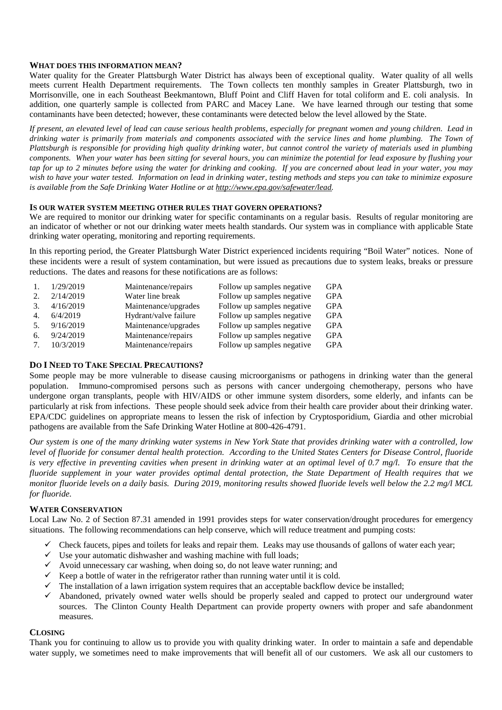### **WHAT DOES THIS INFORMATION MEAN?**

Water quality for the Greater Plattsburgh Water District has always been of exceptional quality. Water quality of all wells meets current Health Department requirements. The Town collects ten monthly samples in Greater Plattsburgh, two in Morrisonville, one in each Southeast Beekmantown, Bluff Point and Cliff Haven for total coliform and E. coli analysis. In addition, one quarterly sample is collected from PARC and Macey Lane. We have learned through our testing that some contaminants have been detected; however, these contaminants were detected below the level allowed by the State.

*If present, an elevated level of lead can cause serious health problems, especially for pregnant women and young children. Lead in drinking water is primarily from materials and components associated with the service lines and home plumbing. The Town of Plattsburgh is responsible for providing high quality drinking water, but cannot control the variety of materials used in plumbing components. When your water has been sitting for several hours, you can minimize the potential for lead exposure by flushing your tap for up to 2 minutes before using the water for drinking and cooking. If you are concerned about lead in your water, you may wish to have your water tested. Information on lead in drinking water, testing methods and steps you can take to minimize exposure is available from the Safe Drinking Water Hotline or at http://www.epa.gov/safewater/lead.*

### **IS OUR WATER SYSTEM MEETING OTHER RULES THAT GOVERN OPERATIONS?**

We are required to monitor our drinking water for specific contaminants on a regular basis. Results of regular monitoring are an indicator of whether or not our drinking water meets health standards. Our system was in compliance with applicable State drinking water operating, monitoring and reporting requirements.

In this reporting period, the Greater Plattsburgh Water District experienced incidents requiring "Boil Water" notices. None of these incidents were a result of system contamination, but were issued as precautions due to system leaks, breaks or pressure reductions. The dates and reasons for these notifications are as follows:

| 1.                              | 1/29/2019 | Maintenance/repairs   | Follow up samples negative | <b>GPA</b> |
|---------------------------------|-----------|-----------------------|----------------------------|------------|
| 2.                              | 2/14/2019 | Water line break      | Follow up samples negative | <b>GPA</b> |
| 3.                              | 4/16/2019 | Maintenance/upgrades  | Follow up samples negative | <b>GPA</b> |
| 4.                              | 6/4/2019  | Hydrant/valve failure | Follow up samples negative | <b>GPA</b> |
| .5.                             | 9/16/2019 | Maintenance/upgrades  | Follow up samples negative | <b>GPA</b> |
| 6.                              | 9/24/2019 | Maintenance/repairs   | Follow up samples negative | <b>GPA</b> |
| $7_{\scriptscriptstyle{\circ}}$ | 10/3/2019 | Maintenance/repairs   | Follow up samples negative | <b>GPA</b> |

# **DO I NEED TO TAKE SPECIAL PRECAUTIONS?**

Some people may be more vulnerable to disease causing microorganisms or pathogens in drinking water than the general population. Immuno-compromised persons such as persons with cancer undergoing chemotherapy, persons who have undergone organ transplants, people with HIV/AIDS or other immune system disorders, some elderly, and infants can be particularly at risk from infections. These people should seek advice from their health care provider about their drinking water. EPA/CDC guidelines on appropriate means to lessen the risk of infection by Cryptosporidium, Giardia and other microbial pathogens are available from the Safe Drinking Water Hotline at 800-426-4791.

*Our system is one of the many drinking water systems in New York State that provides drinking water with a controlled, low level of fluoride for consumer dental health protection. According to the United States Centers for Disease Control, fluoride is very effective in preventing cavities when present in drinking water at an optimal level of 0.7 mg/l. To ensure that the fluoride supplement in your water provides optimal dental protection, the State Department of Health requires that we monitor fluoride levels on a daily basis. During 2019, monitoring results showed fluoride levels well below the 2.2 mg/l MCL for fluoride.*

### **WATER CONSERVATION**

Local Law No. 2 of Section 87.31 amended in 1991 provides steps for water conservation/drought procedures for emergency situations. The following recommendations can help conserve, which will reduce treatment and pumping costs:

- $\checkmark$  Check faucets, pipes and toilets for leaks and repair them. Leaks may use thousands of gallons of water each year;
- $\checkmark$  Use your automatic dishwasher and washing machine with full loads;
- $\checkmark$  Avoid unnecessary car washing, when doing so, do not leave water running; and
- $\checkmark$  Keep a bottle of water in the refrigerator rather than running water until it is cold.
- $\checkmark$  The installation of a lawn irrigation system requires that an acceptable backflow device be installed;
- Abandoned, privately owned water wells should be properly sealed and capped to protect our underground water sources. The Clinton County Health Department can provide property owners with proper and safe abandonment measures.

### **CLOSING**

Thank you for continuing to allow us to provide you with quality drinking water. In order to maintain a safe and dependable water supply, we sometimes need to make improvements that will benefit all of our customers. We ask all our customers to